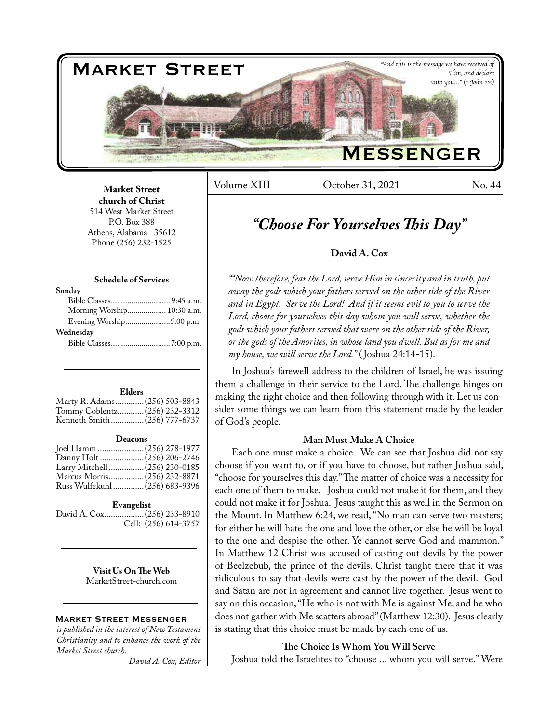

Volume XIII Cotober 31, 2021 No. 44

### **Market Street church of Christ**  514 West Market Street P.O. Box 388 Athens, Alabama 35612 Phone (256) 232-1525

### **Schedule of Services**

| Morning Worship 10:30 a.m. |
|----------------------------|
| Evening Worship5:00 p.m.   |
|                            |
|                            |
|                            |

### **Elders**

| Marty R. Adams (256) 503-8843 |  |
|-------------------------------|--|
| Tommy Coblentz (256) 232-3312 |  |
| Kenneth Smith(256) 777-6737   |  |

### **Deacons**

| Joel Hamm  (256) 278-1977      |  |
|--------------------------------|--|
|                                |  |
| Larry Mitchell  (256) 230-0185 |  |
| Marcus Morris (256) 232-8871   |  |
| Russ Wulfekuhl  (256) 683-9396 |  |
|                                |  |

### **Evangelist**

David A. Cox..................(256) 233-8910 Cell: (256) 614-3757

> **Visit Us On The Web** MarketStreet-church.com

### Market Street Messenger

*is published in the interest of New Testament Christianity and to enhance the work of the Market Street church.*

*David A. Cox, Editor*

### *"Choose For Yourselves This Day"*

### **David A. Cox**

*""Now therefore, fear the Lord, serve Him in sincerity and in truth, put away the gods which your fathers served on the other side of the River and in Egypt. Serve the Lord! And if it seems evil to you to serve the Lord, choose for yourselves this day whom you will serve, whether the gods which your fathers served that were on the other side of the River, or the gods of the Amorites, in whose land you dwell. But as for me and my house, we will serve the Lord."* ( Joshua 24:14-15).

In Joshua's farewell address to the children of Israel, he was issuing them a challenge in their service to the Lord. The challenge hinges on making the right choice and then following through with it. Let us consider some things we can learn from this statement made by the leader of God's people.

### **Man Must Make A Choice**

Each one must make a choice. We can see that Joshua did not say choose if you want to, or if you have to choose, but rather Joshua said, "choose for yourselves this day." The matter of choice was a necessity for each one of them to make. Joshua could not make it for them, and they could not make it for Joshua. Jesus taught this as well in the Sermon on the Mount. In Matthew 6:24, we read, "No man can serve two masters; for either he will hate the one and love the other, or else he will be loyal to the one and despise the other. Ye cannot serve God and mammon." In Matthew 12 Christ was accused of casting out devils by the power of Beelzebub, the prince of the devils. Christ taught there that it was ridiculous to say that devils were cast by the power of the devil. God and Satan are not in agreement and cannot live together. Jesus went to say on this occasion, "He who is not with Me is against Me, and he who does not gather with Me scatters abroad" (Matthew 12:30). Jesus clearly is stating that this choice must be made by each one of us.

### **The Choice Is Whom You Will Serve**

Joshua told the Israelites to "choose ... whom you will serve." Were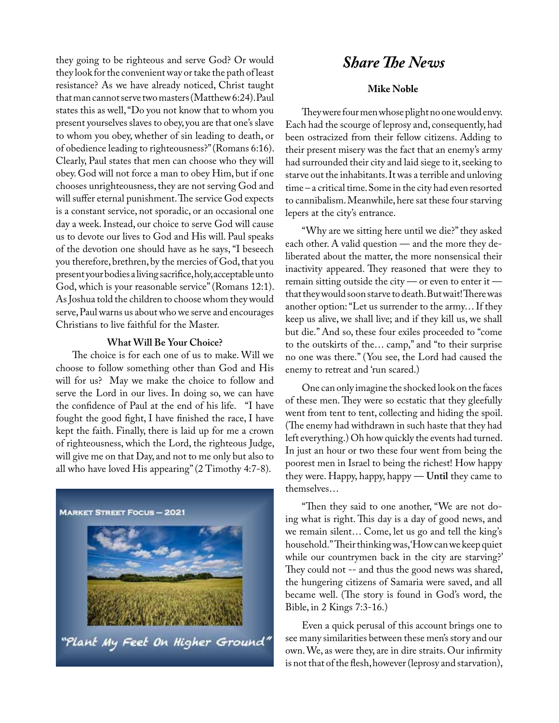they going to be righteous and serve God? Or would **Share The News** they look for the convenient way or take the path of least resistance? As we have already noticed, Christ taught that man cannot serve two masters (Matthew 6:24). Paul states this as well, "Do you not know that to whom you present yourselves slaves to obey, you are that one's slave to whom you obey, whether of sin leading to death, or of obedience leading to righteousness?" (Romans 6:16). Clearly, Paul states that men can choose who they will obey. God will not force a man to obey Him, but if one chooses unrighteousness, they are not serving God and will suffer eternal punishment. The service God expects is a constant service, not sporadic, or an occasional one day a week. Instead, our choice to serve God will cause us to devote our lives to God and His will. Paul speaks of the devotion one should have as he says, "I beseech you therefore, brethren, by the mercies of God, that you present your bodies a living sacrifice, holy, acceptable unto God, which is your reasonable service" (Romans 12:1). As Joshua told the children to choose whom they would serve, Paul warns us about who we serve and encourages Christians to live faithful for the Master.

### **What Will Be Your Choice?**

The choice is for each one of us to make. Will we choose to follow something other than God and His will for us? May we make the choice to follow and serve the Lord in our lives. In doing so, we can have the confidence of Paul at the end of his life. "I have fought the good fight, I have finished the race, I have kept the faith. Finally, there is laid up for me a crown of righteousness, which the Lord, the righteous Judge, will give me on that Day, and not to me only but also to all who have loved His appearing" (2 Timothy 4:7-8).



### **Mike Noble**

They were four men whose plight no one would envy. Each had the scourge of leprosy and, consequently, had been ostracized from their fellow citizens. Adding to their present misery was the fact that an enemy's army had surrounded their city and laid siege to it, seeking to starve out the inhabitants. It was a terrible and unloving time – a critical time. Some in the city had even resorted to cannibalism. Meanwhile, here sat these four starving lepers at the city's entrance.

"Why are we sitting here until we die?" they asked each other. A valid question — and the more they deliberated about the matter, the more nonsensical their inactivity appeared. They reasoned that were they to remain sitting outside the city — or even to enter it that they would soon starve to death. But wait! There was another option: "Let us surrender to the army… If they keep us alive, we shall live; and if they kill us, we shall but die." And so, these four exiles proceeded to "come to the outskirts of the… camp," and "to their surprise no one was there." (You see, the Lord had caused the enemy to retreat and 'run scared.)

One can only imagine the shocked look on the faces of these men. They were so ecstatic that they gleefully went from tent to tent, collecting and hiding the spoil. (The enemy had withdrawn in such haste that they had left everything.) Oh how quickly the events had turned. In just an hour or two these four went from being the poorest men in Israel to being the richest! How happy they were. Happy, happy, happy –– **Until** they came to themselves…

"Then they said to one another, "We are not doing what is right. This day is a day of good news, and we remain silent… Come, let us go and tell the king's household." Their thinking was, 'How can we keep quiet while our countrymen back in the city are starving?' They could not -- and thus the good news was shared, the hungering citizens of Samaria were saved, and all became well. (The story is found in God's word, the Bible, in 2 Kings 7:3-16.)

Even a quick perusal of this account brings one to see many similarities between these men's story and our own. We, as were they, are in dire straits. Our infirmity is not that of the flesh, however (leprosy and starvation),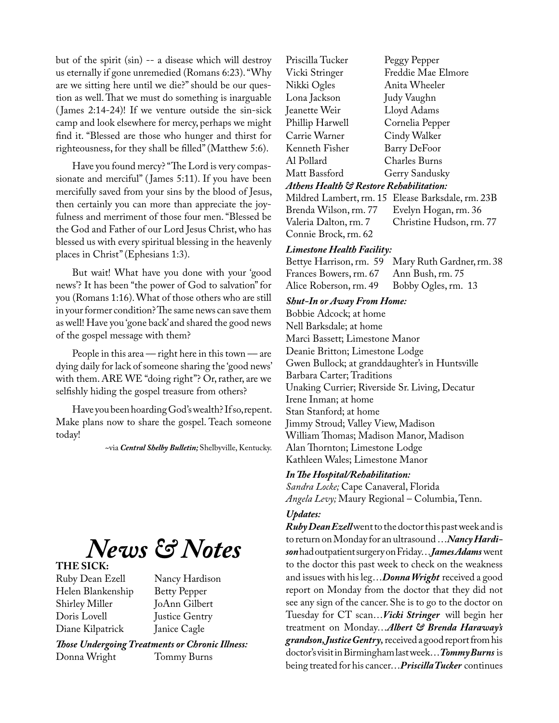but of the spirit (sin) -- a disease which will destroy us eternally if gone unremedied (Romans 6:23). "Why are we sitting here until we die?" should be our question as well. That we must do something is inarguable ( James 2:14-24)! If we venture outside the sin-sick camp and look elsewhere for mercy, perhaps we might find it. "Blessed are those who hunger and thirst for righteousness, for they shall be filled" (Matthew 5:6).

Have you found mercy? "The Lord is very compassionate and merciful" (James 5:11). If you have been mercifully saved from your sins by the blood of Jesus, then certainly you can more than appreciate the joyfulness and merriment of those four men. "Blessed be the God and Father of our Lord Jesus Christ, who has blessed us with every spiritual blessing in the heavenly places in Christ" (Ephesians 1:3).

But wait! What have you done with your 'good news'? It has been "the power of God to salvation" for you (Romans 1:16). What of those others who are still in your former condition? The same news can save them as well! Have you 'gone back' and shared the good news of the gospel message with them?

People in this area  $-$  right here in this town  $-$  are dying daily for lack of someone sharing the 'good news' with them. ARE WE "doing right"? Or, rather, are we selfishly hiding the gospel treasure from others?

Have you been hoarding God's wealth? If so, repent. Make plans now to share the gospel. Teach someone today!

~via *Central Shelby Bulletin;* Shelbyville, Kentucky.

*News & Notes*

# **THE SICK:**

Helen Blankenship Shirley Miller JoAnn Gilbert Doris Lovell Justice Gentry Diane Kilpatrick Janice Cagle

Nancy Hardison<br>Betty Pepper

*Those Undergoing Treatments or Chronic Illness:* Donna Wright

Priscilla Tucker Peggy Pepper Vicki Stringer Freddie Mae Elmore Nikki Ogles Lona Jackson Judy Vaughn Lloyd Adams Phillip Harwell Cornelia Pepper Carrie Warner Cindy Walker Kenneth Fisher Barry DeFoor<br>Al Pollard Charles Burns Charles Burns Matt Bassford Gerry Sandusky *Athens Health & Restore Rehabilitation:* Mildred Lambert, rm. 15 Elease Barksdale, rm. 23B Brenda Wilson, rm. 77 Evelyn Hogan, rm. 36 Christine Hudson, rm. 77

## Connie Brock, rm. 62

# *Limestone Health Facility:*

Mary Ruth Gardner, rm. 38<br>Ann Bush. rm. 75 Frances Bowers, rm. 67 Ann Bush, rm. 75<br>Alice Roberson, rm. 49 Bobby Ogles, rm. 13 Alice Roberson, rm. 49

### *Shut-In or Away From Home:*

Bobbie Adcock; at home Nell Barksdale; at home Marci Bassett; Limestone Manor Deanie Britton; Limestone Lodge Gwen Bullock; at granddaughter's in Huntsville Barbara Carter; Traditions Unaking Currier; Riverside Sr. Living, Decatur Irene Inman; at home Stan Stanford; at home Jimmy Stroud; Valley View, Madison William Thomas; Madison Manor, Madison Alan Thornton; Limestone Lodge Kathleen Wales; Limestone Manor

### *In The Hospital/Rehabilitation:*

*Sandra Locke;* Cape Canaveral, Florida *Angela Levy;* Maury Regional – Columbia, Tenn.

### *Updates:*

*Ruby Dean Ezell* went to the doctor this past week and is to return on Monday for an ultrasound …*Nancy Hardison* had outpatient surgery on Friday…*James Adams* went to the doctor this past week to check on the weakness and issues with his leg…*Donna Wright* received a good report on Monday from the doctor that they did not see any sign of the cancer. She is to go to the doctor on Tuesday for CT scan…*Vicki Stringer* will begin her treatment on Monday…*Albert & Brenda Haraway's grandson, Justice Gentry,* received a good report from his doctor's visit in Birmingham last week…*Tommy Burns* is being treated for his cancer…*Priscilla Tucker* continues